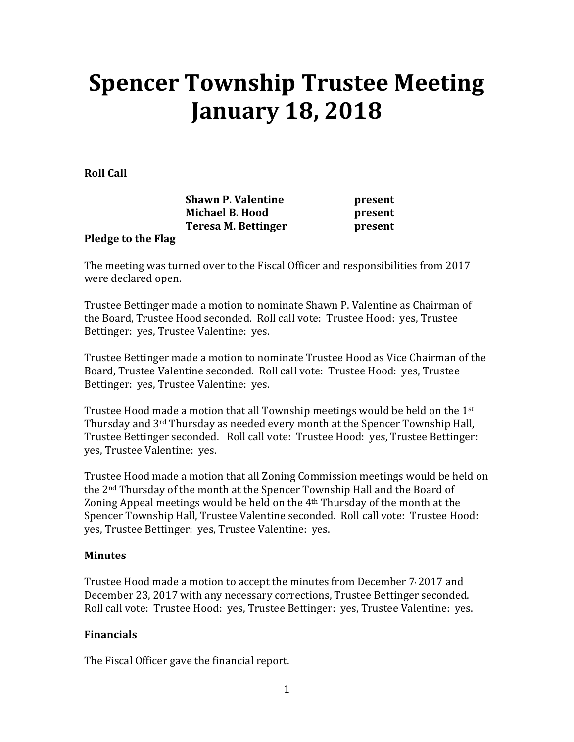# **Spencer Township Trustee Meeting January 18, 2018**

**Roll Call** 

| <b>Shawn P. Valentine</b> |  |
|---------------------------|--|
| <b>Michael B. Hood</b>    |  |
| Teresa M. Bettinger       |  |

**present present** present

#### **Pledge to the Flag**

The meeting was turned over to the Fiscal Officer and responsibilities from 2017 were declared open.

Trustee Bettinger made a motion to nominate Shawn P. Valentine as Chairman of the Board, Trustee Hood seconded. Roll call vote: Trustee Hood: yes, Trustee Bettinger: yes, Trustee Valentine: yes.

Trustee Bettinger made a motion to nominate Trustee Hood as Vice Chairman of the Board, Trustee Valentine seconded. Roll call vote: Trustee Hood: yes, Trustee Bettinger: yes, Trustee Valentine: yes.

Trustee Hood made a motion that all Township meetings would be held on the 1st Thursday and 3rd Thursday as needed every month at the Spencer Township Hall, Trustee Bettinger seconded. Roll call vote: Trustee Hood: yes, Trustee Bettinger: yes, Trustee Valentine: yes.

Trustee Hood made a motion that all Zoning Commission meetings would be held on the 2nd Thursday of the month at the Spencer Township Hall and the Board of Zoning Appeal meetings would be held on the  $4<sup>th</sup>$  Thursday of the month at the Spencer Township Hall, Trustee Valentine seconded. Roll call vote: Trustee Hood: yes, Trustee Bettinger: yes, Trustee Valentine: yes.

### **Minutes**

Trustee Hood made a motion to accept the minutes from December 7, 2017 and December 23, 2017 with any necessary corrections, Trustee Bettinger seconded. Roll call vote: Trustee Hood: yes, Trustee Bettinger: yes, Trustee Valentine: yes.

### **Financials**

The Fiscal Officer gave the financial report.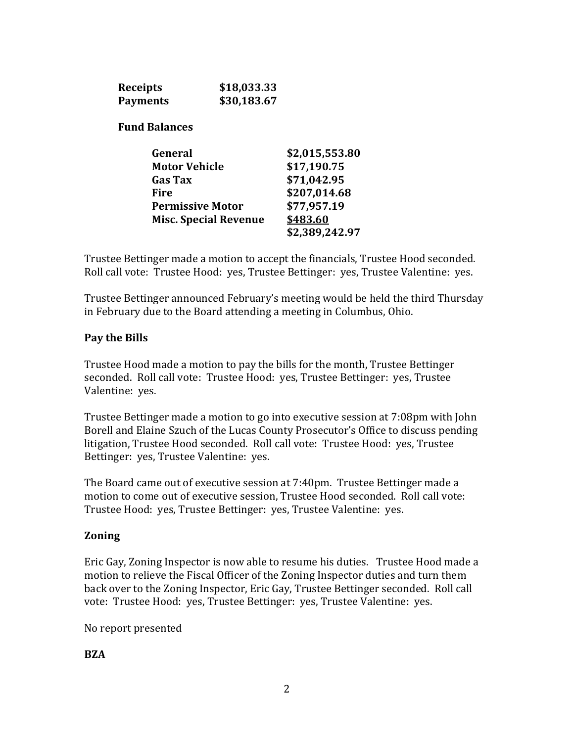| <b>Receipts</b>      | \$18,033.33                  |                |
|----------------------|------------------------------|----------------|
| <b>Payments</b>      | \$30,183.67                  |                |
| <b>Fund Balances</b> |                              |                |
| General              |                              | \$2,015,553.80 |
| <b>Motor Vehicle</b> |                              | \$17,190.75    |
| Gas Tax              |                              | \$71,042.95    |
| Fire                 |                              | \$207,014.68   |
|                      | <b>Permissive Motor</b>      | \$77,957.19    |
|                      | <b>Misc. Special Revenue</b> | \$483.60       |
|                      |                              | \$2,389,242.97 |

Trustee Bettinger made a motion to accept the financials, Trustee Hood seconded. Roll call vote: Trustee Hood: yes, Trustee Bettinger: yes, Trustee Valentine: yes.

Trustee Bettinger announced February's meeting would be held the third Thursday in February due to the Board attending a meeting in Columbus, Ohio.

#### **Pay the Bills**

Trustee Hood made a motion to pay the bills for the month, Trustee Bettinger seconded. Roll call vote: Trustee Hood: yes, Trustee Bettinger: yes, Trustee Valentine: yes.

Trustee Bettinger made a motion to go into executive session at 7:08pm with John Borell and Elaine Szuch of the Lucas County Prosecutor's Office to discuss pending litigation, Trustee Hood seconded. Roll call vote: Trustee Hood: yes, Trustee Bettinger: yes, Trustee Valentine: yes.

The Board came out of executive session at 7:40pm. Trustee Bettinger made a motion to come out of executive session, Trustee Hood seconded. Roll call vote: Trustee Hood: yes, Trustee Bettinger: yes, Trustee Valentine: yes.

#### **Zoning**

Eric Gay, Zoning Inspector is now able to resume his duties. Trustee Hood made a motion to relieve the Fiscal Officer of the Zoning Inspector duties and turn them back over to the Zoning Inspector, Eric Gay, Trustee Bettinger seconded. Roll call vote: Trustee Hood: yes, Trustee Bettinger: yes, Trustee Valentine: yes.

No report presented

**BZA**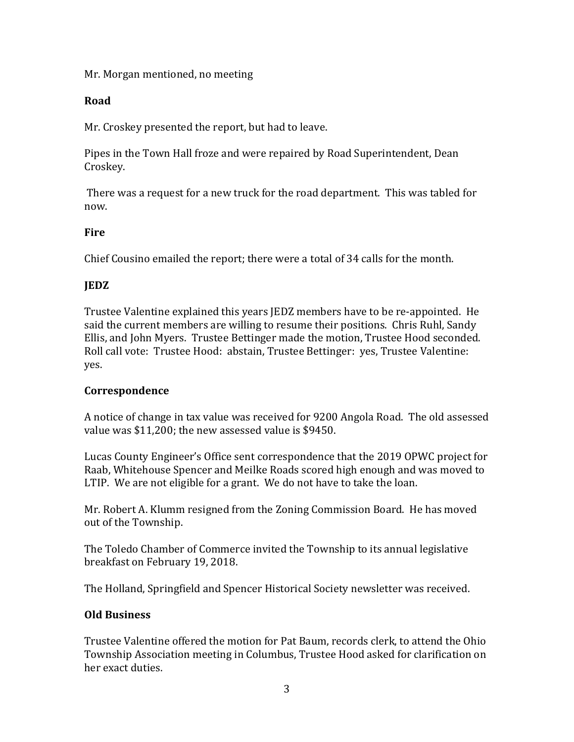Mr. Morgan mentioned, no meeting

## **Road**

Mr. Croskey presented the report, but had to leave.

Pipes in the Town Hall froze and were repaired by Road Superintendent, Dean Croskey.

 There was a request for a new truck for the road department. This was tabled for now.

# **Fire**

Chief Cousino emailed the report; there were a total of 34 calls for the month.

# **JEDZ**

Trustee Valentine explained this years JEDZ members have to be re-appointed. He said the current members are willing to resume their positions. Chris Ruhl, Sandy Ellis, and John Myers. Trustee Bettinger made the motion, Trustee Hood seconded. Roll call vote: Trustee Hood: abstain, Trustee Bettinger: yes, Trustee Valentine: yes.

### **Correspondence**

A notice of change in tax value was received for 9200 Angola Road. The old assessed value was \$11,200; the new assessed value is \$9450.

Lucas County Engineer's Office sent correspondence that the 2019 OPWC project for Raab, Whitehouse Spencer and Meilke Roads scored high enough and was moved to LTIP. We are not eligible for a grant. We do not have to take the loan.

Mr. Robert A. Klumm resigned from the Zoning Commission Board. He has moved out of the Township.

The Toledo Chamber of Commerce invited the Township to its annual legislative breakfast on February 19, 2018.

The Holland, Springfield and Spencer Historical Society newsletter was received.

# **Old Business**

Trustee Valentine offered the motion for Pat Baum, records clerk, to attend the Ohio Township Association meeting in Columbus, Trustee Hood asked for clarification on her exact duties.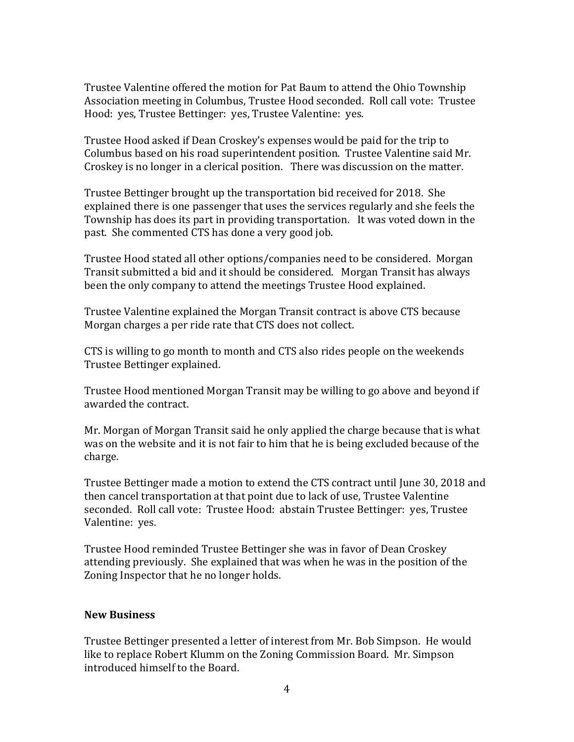Trustee Valentine offered the motion for Pat Baum to attend the Ohio Township Association meeting in Columbus, Trustee Hood seconded. Roll call vote: Trustee Hood: yes, Trustee Bettinger: yes, Trustee Valentine: yes.

Trustee Hood asked if Dean Croskey's expenses would be paid for the trip to Columbus based on his road superintendent position. Trustee Valentine said Mr. Croskey is no longer in a clerical position. There was discussion on the matter.

Trustee Bettinger brought up the transportation bid received for 2018. She explained there is one passenger that uses the services regularly and she feels the Township has does its part in providing transportation. It was voted down in the past. She commented CTS has done a very good job.

Trustee Hood stated all other options/companies need to be considered. Morgan Transit submitted a bid and it should be considered. Morgan Transit has always been the only company to attend the meetings Trustee Hood explained.

Trustee Valentine explained the Morgan Transit contract is above CTS because Morgan charges a per ride rate that CTS does not collect.

CTS is willing to go month to month and CTS also rides people on the weekends Trustee Bettinger explained.

Trustee Hood mentioned Morgan Transit may be willing to go above and beyond if awarded the contract.

Mr. Morgan of Morgan Transit said he only applied the charge because that is what was on the website and it is not fair to him that he is being excluded because of the charge.

Trustee Bettinger made a motion to extend the CTS contract until June 30, 2018 and then cancel transportation at that point due to lack of use, Trustee Valentine seconded. Roll call vote: Trustee Hood: abstain Trustee Bettinger: yes, Trustee Valentine: yes.

Trustee Hood reminded Trustee Bettinger she was in favor of Dean Croskey attending previously. She explained that was when he was in the position of the Zoning Inspector that he no longer holds.

#### **New Business**

Trustee Bettinger presented a letter of interest from Mr. Bob Simpson. He would like to replace Robert Klumm on the Zoning Commission Board. Mr. Simpson introduced himself to the Board.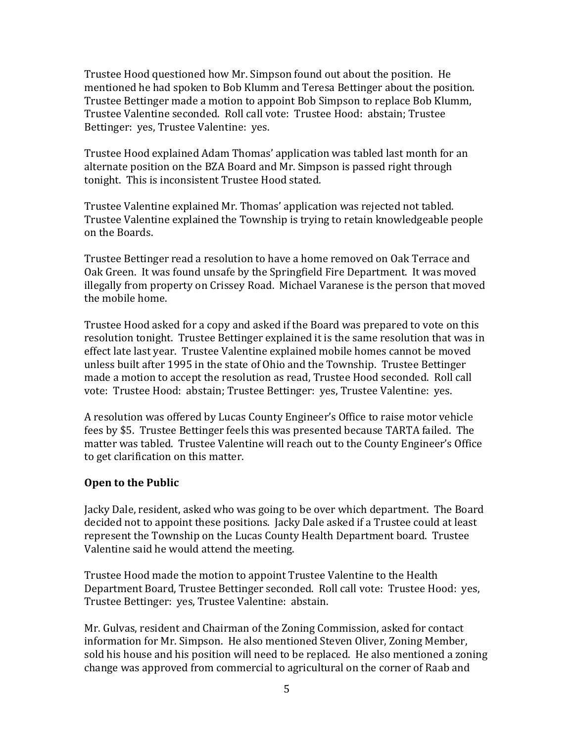Trustee Hood questioned how Mr. Simpson found out about the position. He mentioned he had spoken to Bob Klumm and Teresa Bettinger about the position. Trustee Bettinger made a motion to appoint Bob Simpson to replace Bob Klumm, Trustee Valentine seconded. Roll call vote: Trustee Hood: abstain; Trustee Bettinger: yes, Trustee Valentine: yes.

Trustee Hood explained Adam Thomas' application was tabled last month for an alternate position on the BZA Board and Mr. Simpson is passed right through tonight. This is inconsistent Trustee Hood stated.

Trustee Valentine explained Mr. Thomas' application was rejected not tabled. Trustee Valentine explained the Township is trying to retain knowledgeable people on the Boards.

Trustee Bettinger read a resolution to have a home removed on Oak Terrace and Oak Green. It was found unsafe by the Springfield Fire Department. It was moved illegally from property on Crissey Road. Michael Varanese is the person that moved the mobile home.

Trustee Hood asked for a copy and asked if the Board was prepared to vote on this resolution tonight. Trustee Bettinger explained it is the same resolution that was in effect late last year. Trustee Valentine explained mobile homes cannot be moved unless built after 1995 in the state of Ohio and the Township. Trustee Bettinger made a motion to accept the resolution as read, Trustee Hood seconded. Roll call vote: Trustee Hood: abstain; Trustee Bettinger: yes, Trustee Valentine: yes.

A resolution was offered by Lucas County Engineer's Office to raise motor vehicle fees by \$5. Trustee Bettinger feels this was presented because TARTA failed. The matter was tabled. Trustee Valentine will reach out to the County Engineer's Office to get clarification on this matter.

#### **Open to the Public**

Jacky Dale, resident, asked who was going to be over which department. The Board decided not to appoint these positions. Jacky Dale asked if a Trustee could at least represent the Township on the Lucas County Health Department board. Trustee Valentine said he would attend the meeting.

Trustee Hood made the motion to appoint Trustee Valentine to the Health Department Board, Trustee Bettinger seconded. Roll call vote: Trustee Hood: yes, Trustee Bettinger: yes, Trustee Valentine: abstain.

Mr. Gulvas, resident and Chairman of the Zoning Commission, asked for contact information for Mr. Simpson. He also mentioned Steven Oliver, Zoning Member, sold his house and his position will need to be replaced. He also mentioned a zoning change was approved from commercial to agricultural on the corner of Raab and